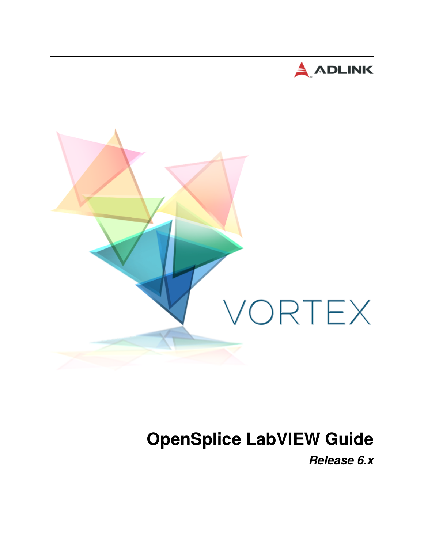



# **OpenSplice LabVIEW Guide**

*Release 6.x*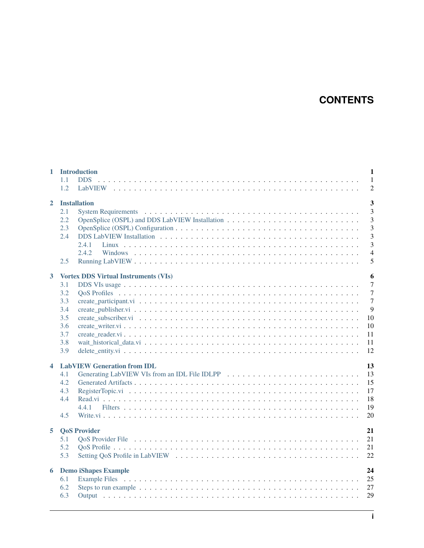# **CONTENTS**

| $\mathbf{1}$            | <b>Introduction</b><br>1.1<br><b>DDS</b><br>1.2                                                            | $\mathbf{1}$<br>$\mathbf{1}$<br>$\overline{2}$                                                                     |
|-------------------------|------------------------------------------------------------------------------------------------------------|--------------------------------------------------------------------------------------------------------------------|
| $\mathbf{2}$            | <b>Installation</b><br>2.1<br>2.2<br>2.3<br>2.4<br>2.41<br>2.4.2<br>2.5                                    | $\overline{3}$<br>$\overline{3}$<br>$\overline{3}$<br>$\overline{3}$<br>3<br>$\overline{3}$<br>$\overline{4}$<br>5 |
| $\mathbf{3}$            | <b>Vortex DDS Virtual Instruments (VIs)</b><br>3.1<br>3.2<br>3.3<br>3.4<br>3.5<br>3.6<br>3.7<br>3.8<br>3.9 | 6<br>$\overline{7}$<br>$\overline{7}$<br>$\overline{7}$<br>9<br>10<br>10<br>11<br>11<br>12                         |
| $\overline{\mathbf{4}}$ | <b>LabVIEW Generation from IDL</b><br>4.1<br>4.2<br>4.3<br>4.4<br>4.4.1<br>4.5                             | 13<br>13<br>15<br>17<br>18<br>19<br>20                                                                             |
| 5                       | <b>QoS Provider</b><br>5.1<br>5.2<br>5.3                                                                   | 21<br>21<br>21<br>22                                                                                               |
| 6                       | <b>Demo iShapes Example</b><br>6.1<br>6.2<br>6.3                                                           | 24<br>25<br>27<br>29                                                                                               |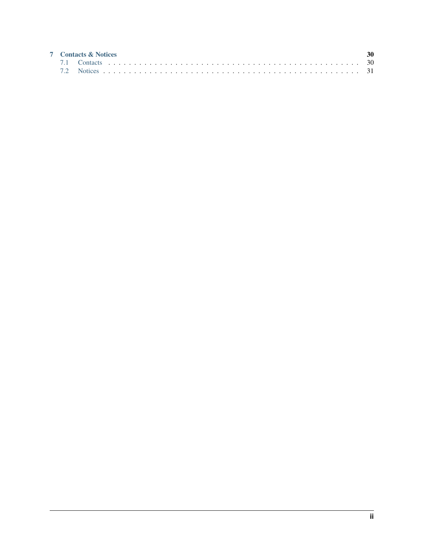|  | <b>7</b> Contacts & Notices |  |
|--|-----------------------------|--|
|  |                             |  |
|  |                             |  |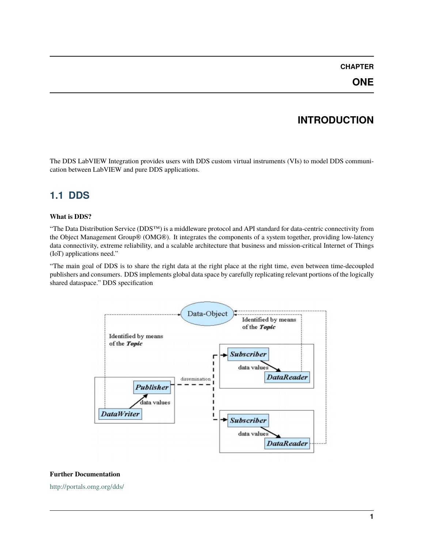### **ONE**

# **INTRODUCTION**

<span id="page-3-0"></span>The DDS LabVIEW Integration provides users with DDS custom virtual instruments (VIs) to model DDS communication between LabVIEW and pure DDS applications.

### <span id="page-3-1"></span>**1.1 DDS**

#### **What is DDS?**

"The Data Distribution Service (DDS™) is a middleware protocol and API standard for data-centric connectivity from the Object Management Group® (OMG®). It integrates the components of a system together, providing low-latency data connectivity, extreme reliability, and a scalable architecture that business and mission-critical Internet of Things (IoT) applications need."

"The main goal of DDS is to share the right data at the right place at the right time, even between time-decoupled publishers and consumers. DDS implements global data space by carefully replicating relevant portions of the logically shared dataspace." DDS specification



#### **Further Documentation**

<http://portals.omg.org/dds/>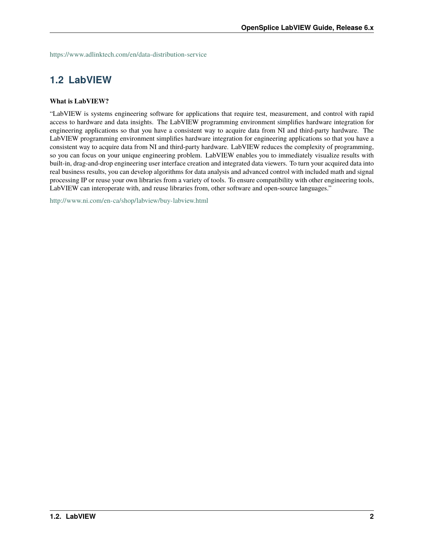<https://www.adlinktech.com/en/data-distribution-service>

### <span id="page-4-0"></span>**1.2 LabVIEW**

#### **What is LabVIEW?**

"LabVIEW is systems engineering software for applications that require test, measurement, and control with rapid access to hardware and data insights. The LabVIEW programming environment simplifies hardware integration for engineering applications so that you have a consistent way to acquire data from NI and third-party hardware. The LabVIEW programming environment simplifies hardware integration for engineering applications so that you have a consistent way to acquire data from NI and third-party hardware. LabVIEW reduces the complexity of programming, so you can focus on your unique engineering problem. LabVIEW enables you to immediately visualize results with built-in, drag-and-drop engineering user interface creation and integrated data viewers. To turn your acquired data into real business results, you can develop algorithms for data analysis and advanced control with included math and signal processing IP or reuse your own libraries from a variety of tools. To ensure compatibility with other engineering tools, LabVIEW can interoperate with, and reuse libraries from, other software and open-source languages."

<http://www.ni.com/en-ca/shop/labview/buy-labview.html>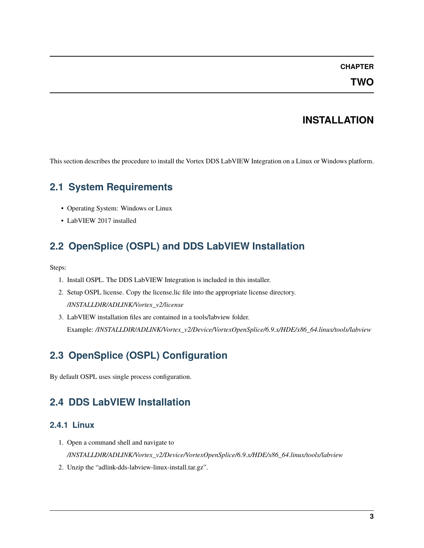**TWO**

### **INSTALLATION**

<span id="page-5-0"></span>This section describes the procedure to install the Vortex DDS LabVIEW Integration on a Linux or Windows platform.

### <span id="page-5-1"></span>**2.1 System Requirements**

- Operating System: Windows or Linux
- LabVIEW 2017 installed

## <span id="page-5-2"></span>**2.2 OpenSplice (OSPL) and DDS LabVIEW Installation**

Steps:

- 1. Install OSPL. The DDS LabVIEW Integration is included in this installer.
- 2. Setup OSPL license. Copy the license.lic file into the appropriate license directory. */INSTALLDIR/ADLINK/Vortex\_v2/license*
- 3. LabVIEW installation files are contained in a tools/labview folder. Example: */INSTALLDIR/ADLINK/Vortex\_v2/Device/VortexOpenSplice/6.9.x/HDE/x86\_64.linux/tools/labview*

# <span id="page-5-3"></span>**2.3 OpenSplice (OSPL) Configuration**

By default OSPL uses single process configuration.

### <span id="page-5-4"></span>**2.4 DDS LabVIEW Installation**

### <span id="page-5-5"></span>**2.4.1 Linux**

- 1. Open a command shell and navigate to */INSTALLDIR/ADLINK/Vortex\_v2/Device/VortexOpenSplice/6.9.x/HDE/x86\_64.linux/tools/labview*
- 2. Unzip the "adlink-dds-labview-linux-install.tar.gz".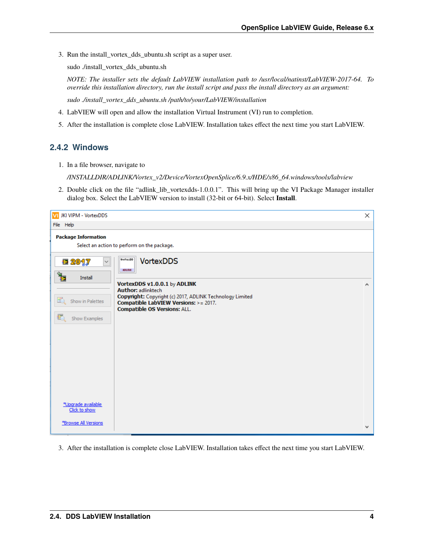3. Run the install\_vortex\_dds\_ubuntu.sh script as a super user.

sudo ./install\_vortex\_dds\_ubuntu.sh

*NOTE: The installer sets the default LabVIEW installation path to /usr/local/natinst/LabVIEW-2017-64. To override this installation directory, run the install script and pass the install directory as an argument:*

*sudo ./install\_vortex\_dds\_ubuntu.sh /path/to/your/LabVIEW/installation*

- 4. LabVIEW will open and allow the installation Virtual Instrument (VI) run to completion.
- 5. After the installation is complete close LabVIEW. Installation takes effect the next time you start LabVIEW.

### <span id="page-6-0"></span>**2.4.2 Windows**

1. In a file browser, navigate to

*/INSTALLDIR/ADLINK/Vortex\_v2/Device/VortexOpenSplice/6.9.x/HDE/x86\_64.windows/tools/labview*

2. Double click on the file "adlink\_lib\_vortexdds-1.0.0.1". This will bring up the VI Package Manager installer dialog box. Select the LabVIEW version to install (32-bit or 64-bit). Select **Install**.

| JKI VIPM - VortexDDS<br>VI                  |                                                                                                                                          | ×            |
|---------------------------------------------|------------------------------------------------------------------------------------------------------------------------------------------|--------------|
| File Help                                   |                                                                                                                                          |              |
| <b>Package Information</b>                  |                                                                                                                                          |              |
| Select an action to perform on the package. |                                                                                                                                          |              |
| VortexDD<br><b>12 2047</b><br><b>ADLINK</b> | <b>VortexDDS</b>                                                                                                                         |              |
| Install<br><b>Author: adlinktech</b>        | VortexDDS v1.0.0.1 by ADLINK                                                                                                             | $\land$      |
| 凸<br>Show in Palettes                       | Copyright: Copyright (c) 2017, ADLINK Technology Limited<br>Compatible LabVIEW Versions: >= 2017.<br><b>Compatible OS Versions: ALL.</b> |              |
| Ð<br>Show Examples                          |                                                                                                                                          |              |
|                                             |                                                                                                                                          |              |
|                                             |                                                                                                                                          |              |
|                                             |                                                                                                                                          |              |
| *Upgrade available                          |                                                                                                                                          |              |
| Click to show                               |                                                                                                                                          |              |
| *Browse All Versions                        |                                                                                                                                          | $\mathbf{v}$ |

3. After the installation is complete close LabVIEW. Installation takes effect the next time you start LabVIEW.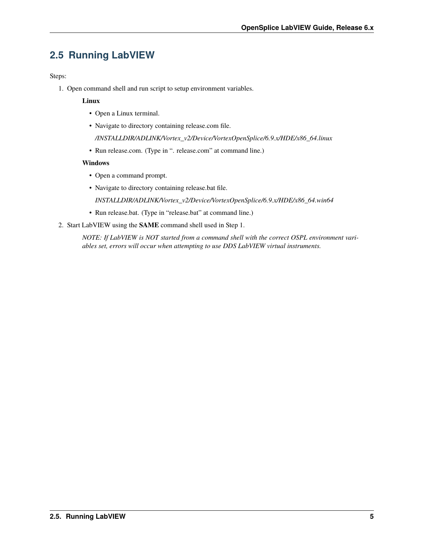### <span id="page-7-0"></span>**2.5 Running LabVIEW**

Steps:

1. Open command shell and run script to setup environment variables.

#### **Linux**

- Open a Linux terminal.
- Navigate to directory containing release.com file.

*/INSTALLDIR/ADLINK/Vortex\_v2/Device/VortexOpenSplice/6.9.x/HDE/x86\_64.linux*

• Run release.com. (Type in ". release.com" at command line.)

#### **Windows**

- Open a command prompt.
- Navigate to directory containing release.bat file.

*INSTALLDIR/ADLINK/Vortex\_v2/Device/VortexOpenSplice/6.9.x/HDE/x86\_64.win64*

- Run release.bat. (Type in "release.bat" at command line.)
- 2. Start LabVIEW using the **SAME** command shell used in Step 1.

*NOTE: If LabVIEW is NOT started from a command shell with the correct OSPL environment variables set, errors will occur when attempting to use DDS LabVIEW virtual instruments.*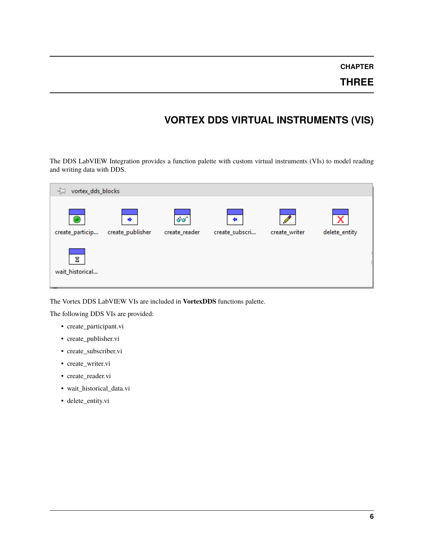### **THREE**

## **VORTEX DDS VIRTUAL INSTRUMENTS (VIS)**

<span id="page-8-0"></span>The DDS LabVIEW Integration provides a function palette with custom virtual instruments (VIs) to model reading and writing data with DDS.

| -14<br>vortex_dds_blocks |                  |               |                |               |               |
|--------------------------|------------------|---------------|----------------|---------------|---------------|
| Ø                        | ٠                | ණ             | ÷              |               |               |
| create_particip          | create_publisher | create_reader | create_subscri | create_writer | delete_entity |
| Σ                        |                  |               |                |               |               |
| wait_historical          |                  |               |                |               |               |

The Vortex DDS LabVIEW VIs are included in **VortexDDS** functions palette.

The following DDS VIs are provided:

- create\_participant.vi
- create\_publisher.vi
- create\_subscriber.vi
- create\_writer.vi
- create\_reader.vi
- wait\_historical\_data.vi
- delete\_entity.vi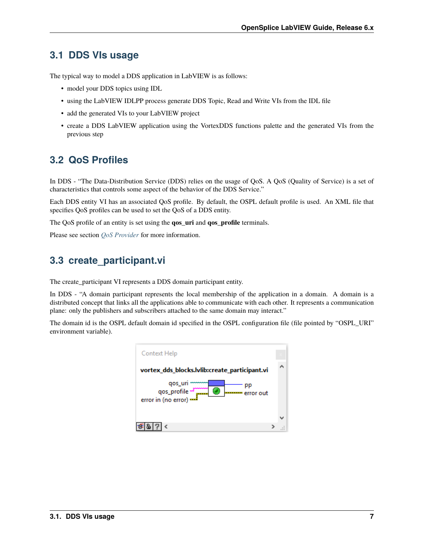### <span id="page-9-0"></span>**3.1 DDS VIs usage**

The typical way to model a DDS application in LabVIEW is as follows:

- model your DDS topics using IDL
- using the LabVIEW IDLPP process generate DDS Topic, Read and Write VIs from the IDL file
- add the generated VIs to your LabVIEW project
- create a DDS LabVIEW application using the VortexDDS functions palette and the generated VIs from the previous step

### <span id="page-9-1"></span>**3.2 QoS Profiles**

In DDS - "The Data-Distribution Service (DDS) relies on the usage of QoS. A QoS (Quality of Service) is a set of characteristics that controls some aspect of the behavior of the DDS Service."

Each DDS entity VI has an associated QoS profile. By default, the OSPL default profile is used. An XML file that specifies QoS profiles can be used to set the QoS of a DDS entity.

The QoS profile of an entity is set using the **qos\_uri** and **qos\_profile** terminals.

Please see section *[QoS Provider](#page-23-0)* for more information.

### <span id="page-9-2"></span>**3.3 create\_participant.vi**

The create\_participant VI represents a DDS domain participant entity.

In DDS - "A domain participant represents the local membership of the application in a domain. A domain is a distributed concept that links all the applications able to communicate with each other. It represents a communication plane: only the publishers and subscribers attached to the same domain may interact."

The domain id is the OSPL default domain id specified in the OSPL configuration file (file pointed by "OSPL\_URI" environment variable).

| Context Help                                                                      |  |
|-----------------------------------------------------------------------------------|--|
| vortex_dds_blocks.lvlib:create_participant.vi                                     |  |
| qos_uri<br>سنة<br>  qos_profile<br>  error in (no error)<br>ø<br>error out<br>$-$ |  |
|                                                                                   |  |
|                                                                                   |  |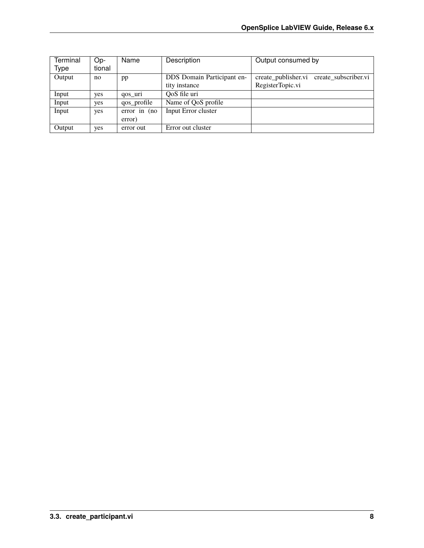| Terminal | Op-    | Name             | Description                | Output consumed by                          |
|----------|--------|------------------|----------------------------|---------------------------------------------|
| Type     | tional |                  |                            |                                             |
| Output   | no     | pp               | DDS Domain Participant en- | create_publisher.vi<br>create subscriber.vi |
|          |        |                  | tity instance              | RegisterTopic.vi                            |
| Input    | yes    | qos uri          | QoS file uri               |                                             |
| Input    | yes    | qos_profile      | Name of QoS profile        |                                             |
| Input    | yes    | $error$ in $(no$ | Input Error cluster        |                                             |
|          |        | error)           |                            |                                             |
| Output   | yes    | error out        | Error out cluster          |                                             |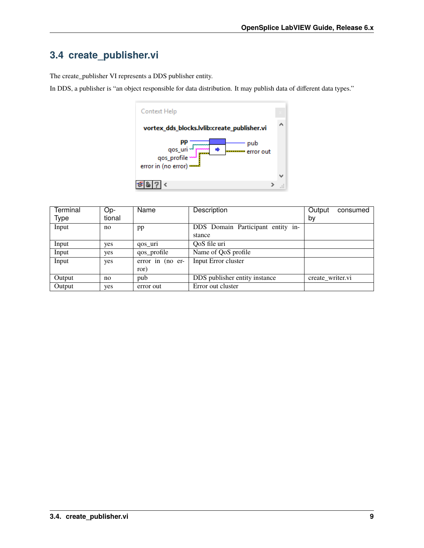# <span id="page-11-0"></span>**3.4 create\_publisher.vi**

The create\_publisher VI represents a DDS publisher entity.

In DDS, a publisher is "an object responsible for data distribution. It may publish data of different data types."



| <b>Terminal</b> | Op-    | Name             | Description                       | Output<br>consumed |
|-----------------|--------|------------------|-----------------------------------|--------------------|
| Type            | tional |                  |                                   | by                 |
| Input           | no     | pp               | DDS Domain Participant entity in- |                    |
|                 |        |                  | stance                            |                    |
| Input           | yes    | qos uri          | QoS file uri                      |                    |
| Input           | yes    | qos_profile      | Name of QoS profile               |                    |
| Input           | yes    | error in (no er- | Input Error cluster               |                    |
|                 |        | ror)             |                                   |                    |
| Output          | no     | pub              | DDS publisher entity instance     | create writer.vi   |
| Output          | yes    | error out        | Error out cluster                 |                    |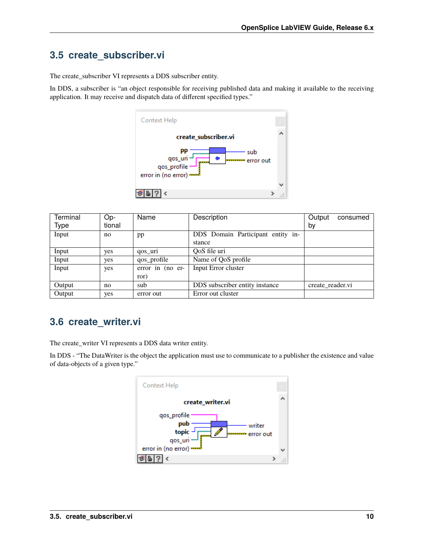### <span id="page-12-0"></span>**3.5 create\_subscriber.vi**

The create\_subscriber VI represents a DDS subscriber entity.

In DDS, a subscriber is "an object responsible for receiving published data and making it available to the receiving application. It may receive and dispatch data of different specified types."



| Terminal | Op-    | Name             | Description                       | Output           | consumed |
|----------|--------|------------------|-----------------------------------|------------------|----------|
| Type     | tional |                  |                                   | by               |          |
| Input    | no     | pp               | DDS Domain Participant entity in- |                  |          |
|          |        |                  | stance                            |                  |          |
| Input    | yes    | qos uri          | OoS file uri                      |                  |          |
| Input    | yes    | qos_profile      | Name of QoS profile               |                  |          |
| Input    | yes    | error in (no er- | Input Error cluster               |                  |          |
|          |        | ror)             |                                   |                  |          |
| Output   | no     | sub              | DDS subscriber entity instance    | create reader.vi |          |
| Output   | yes    | error out        | Error out cluster                 |                  |          |

### <span id="page-12-1"></span>**3.6 create\_writer.vi**

The create\_writer VI represents a DDS data writer entity.

In DDS - "The DataWriter is the object the application must use to communicate to a publisher the existence and value of data-objects of a given type."

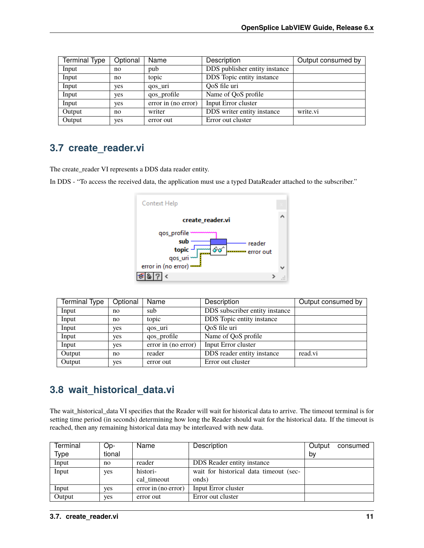| <b>Terminal Type</b> | Optional | Name                | Description                   | Output consumed by |
|----------------------|----------|---------------------|-------------------------------|--------------------|
| Input                | no       | pub                 | DDS publisher entity instance |                    |
| Input                | no       | topic               | DDS Topic entity instance     |                    |
| Input                | yes      | qos uri             | QoS file uri                  |                    |
| Input                | yes      | qos_profile         | Name of QoS profile           |                    |
| Input                | yes      | error in (no error) | Input Error cluster           |                    |
| Output               | no       | writer              | DDS writer entity instance    | write.vi           |
| Output               | yes      | error out           | Error out cluster             |                    |

### <span id="page-13-0"></span>**3.7 create\_reader.vi**

The create\_reader VI represents a DDS data reader entity.

In DDS - "To access the received data, the application must use a typed DataReader attached to the subscriber."



| <b>Terminal Type</b> | Optional | Name                | Description                    | Output consumed by |
|----------------------|----------|---------------------|--------------------------------|--------------------|
| Input                | no       | sub                 | DDS subscriber entity instance |                    |
| Input                | no       | topic               | DDS Topic entity instance      |                    |
| Input                | yes      | qos uri             | QoS file uri                   |                    |
| Input                | yes      | qos_profile         | Name of QoS profile            |                    |
| Input                | yes      | error in (no error) | Input Error cluster            |                    |
| Output               | no       | reader              | DDS reader entity instance     | read.vi            |
| Output               | yes      | error out           | Error out cluster              |                    |

### <span id="page-13-1"></span>**3.8 wait\_historical\_data.vi**

The wait\_historical\_data VI specifies that the Reader will wait for historical data to arrive. The timeout terminal is for setting time period (in seconds) determining how long the Reader should wait for the historical data. If the timeout is reached, then any remaining historical data may be interleaved with new data.

| Terminal | Op-    | Name                | Description                            | Output | consumed |
|----------|--------|---------------------|----------------------------------------|--------|----------|
| Type     | tional |                     |                                        | by     |          |
| Input    | no     | reader              | DDS Reader entity instance             |        |          |
| Input    | yes    | histori-            | wait for historical data timeout (sec- |        |          |
|          |        | cal timeout         | onds)                                  |        |          |
| Input    | ves    | error in (no error) | Input Error cluster                    |        |          |
| Output   | ves    | error out           | Error out cluster                      |        |          |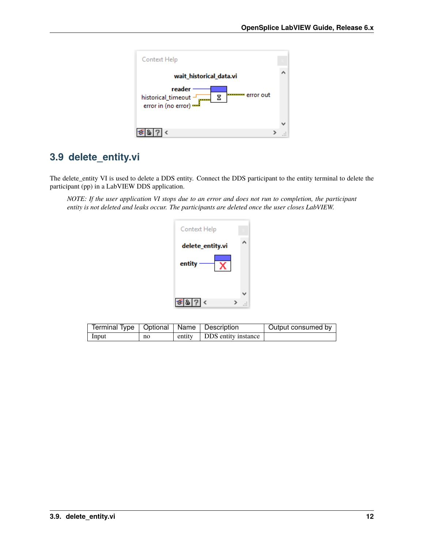

### <span id="page-14-0"></span>**3.9 delete\_entity.vi**

The delete\_entity VI is used to delete a DDS entity. Connect the DDS participant to the entity terminal to delete the participant (pp) in a LabVIEW DDS application.

*NOTE: If the user application VI stops due to an error and does not run to completion, the participant entity is not deleted and leaks occur. The participants are deleted once the user closes LabVIEW.*

| Context Help              |  |
|---------------------------|--|
| delete_entity.vi          |  |
| entity                    |  |
|                           |  |
| 香 8  ? <br>$\left\langle$ |  |

| Terminal Type   Optional   Name   Description |    |                            | Output consumed by |
|-----------------------------------------------|----|----------------------------|--------------------|
| Input                                         | no | entity DDS entity instance |                    |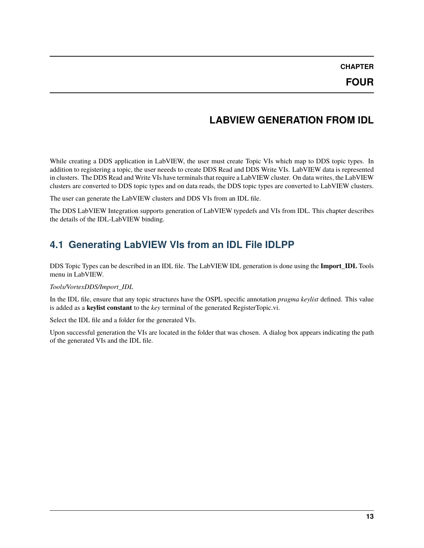### **LABVIEW GENERATION FROM IDL**

<span id="page-15-0"></span>While creating a DDS application in LabVIEW, the user must create Topic VIs which map to DDS topic types. In addition to registering a topic, the user neeeds to create DDS Read and DDS Write VIs. LabVIEW data is represented in clusters. The DDS Read and Write VIs have terminals that require a LabVIEW cluster. On data writes, the LabVIEW clusters are converted to DDS topic types and on data reads, the DDS topic types are converted to LabVIEW clusters.

The user can generate the LabVIEW clusters and DDS VIs from an IDL file.

The DDS LabVIEW Integration supports generation of LabVIEW typedefs and VIs from IDL. This chapter describes the details of the IDL-LabVIEW binding.

### <span id="page-15-1"></span>**4.1 Generating LabVIEW VIs from an IDL File IDLPP**

DDS Topic Types can be described in an IDL file. The LabVIEW IDL generation is done using the **Import\_IDL** Tools menu in LabVIEW.

#### *Tools/VortexDDS/Import\_IDL*

In the IDL file, ensure that any topic structures have the OSPL specific annotation *pragma keylist* defined. This value is added as a **keylist constant** to the *key* terminal of the generated RegisterTopic.vi.

Select the IDL file and a folder for the generated VIs.

Upon successful generation the VIs are located in the folder that was chosen. A dialog box appears indicating the path of the generated VIs and the IDL file.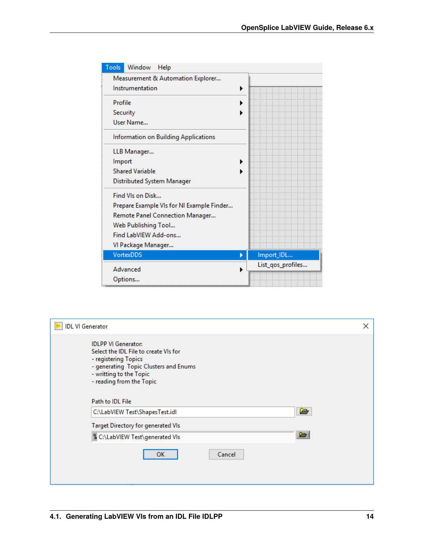| Tools<br>Window<br>Help                   |                   |
|-------------------------------------------|-------------------|
| Measurement & Automation Explorer         |                   |
| Instrumentation                           | ▶                 |
| Profile                                   |                   |
| Security                                  |                   |
| User Name                                 |                   |
| Information on Building Applications      |                   |
| LLB Manager                               |                   |
| Import                                    |                   |
| <b>Shared Variable</b>                    |                   |
| Distributed System Manager                |                   |
| Find VIs on Disk                          |                   |
| Prepare Example VIs for NI Example Finder |                   |
| Remote Panel Connection Manager           |                   |
| Web Publishing Tool                       |                   |
| Find LabVIEW Add-ons                      |                   |
| VI Package Manager                        |                   |
| <b>VortexDDS</b>                          | Import_IDL        |
| Advanced                                  | List_qos_profiles |
| Options                                   |                   |

| <b>IDL VI Generator</b> |                                                                                                                                                                                             | × |
|-------------------------|---------------------------------------------------------------------------------------------------------------------------------------------------------------------------------------------|---|
|                         | <b>IDLPP VI Generator:</b><br>Select the IDL File to create VIs for<br>- registering Topics<br>- generating Topic Clusters and Enums<br>- writting to the Topic<br>- reading from the Topic |   |
|                         | Path to IDL File                                                                                                                                                                            |   |
|                         | è<br>C:\LabVIEW Test\ShapesTest.idl                                                                                                                                                         |   |
|                         | <b>Target Directory for generated VIs</b>                                                                                                                                                   |   |
|                         | b<br>뭡 C:\LabVIEW Test\generated VIs                                                                                                                                                        |   |
|                         | Cancel<br><b>OK</b>                                                                                                                                                                         |   |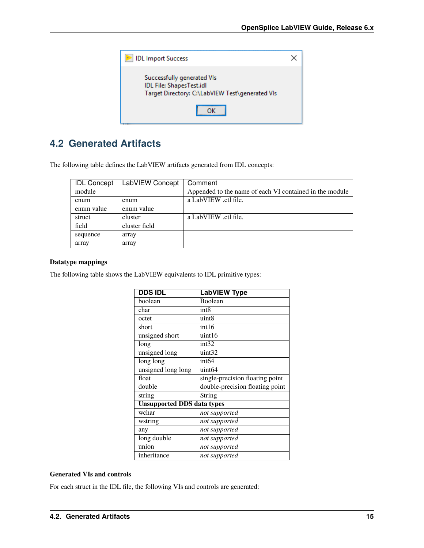

## <span id="page-17-0"></span>**4.2 Generated Artifacts**

The following table defines the LabVIEW artifacts generated from IDL concepts:

| <b>IDL Concept</b> | LabVIEW Concept | Comment                                                 |
|--------------------|-----------------|---------------------------------------------------------|
| module             |                 | Appended to the name of each VI contained in the module |
| enum               | enum            | a LabVIEW .ctl file.                                    |
| enum value         | enum value      |                                                         |
| struct             | cluster         | a LabVIEW .ctl file.                                    |
| field              | cluster field   |                                                         |
| sequence           | array           |                                                         |
| array              | array           |                                                         |

#### **Datatype mappings**

The following table shows the LabVIEW equivalents to IDL primitive types:

| <b>DDS IDL</b>                    | <b>LabVIEW Type</b>             |
|-----------------------------------|---------------------------------|
| boolean                           | Boolean                         |
| char                              | int <sub>8</sub>                |
| octet                             | uint8                           |
| short                             | int16                           |
| unsigned short                    | uint16                          |
| long                              | int32                           |
| unsigned long                     | uint32                          |
| long long                         | int <sub>64</sub>               |
| unsigned long long                | uint <sub>64</sub>              |
| float                             | single-precision floating point |
| double                            | double-precision floating point |
| string                            | String                          |
| <b>Unsupported DDS data types</b> |                                 |
| wchar                             | not supported                   |
| wstring                           | not supported                   |
| any                               | not supported                   |
| long double                       | not supported                   |
| union                             | not supported                   |
| inheritance                       | not supported                   |

#### **Generated VIs and controls**

For each struct in the IDL file, the following VIs and controls are generated: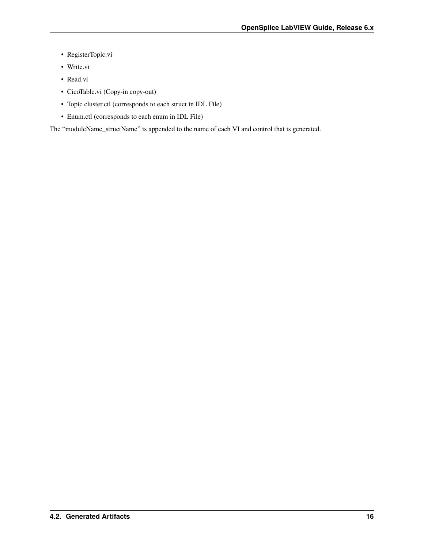- RegisterTopic.vi
- Write.vi
- Read.vi
- CicoTable.vi (Copy-in copy-out)
- Topic cluster.ctl (corresponds to each struct in IDL File)
- Enum.ctl (corresponds to each enum in IDL File)

The "moduleName\_structName" is appended to the name of each VI and control that is generated.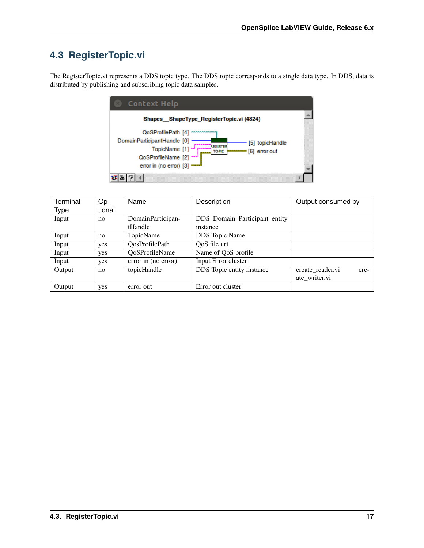# <span id="page-19-0"></span>**4.3 RegisterTopic.vi**

The RegisterTopic.vi represents a DDS topic type. The DDS topic corresponds to a single data type. In DDS, data is distributed by publishing and subscribing topic data samples.



| Terminal | Op-    | Name                | Description                   | Output consumed by       |
|----------|--------|---------------------|-------------------------------|--------------------------|
| Type     | tional |                     |                               |                          |
| Input    | no     | DomainParticipan-   | DDS Domain Participant entity |                          |
|          |        | tHandle             | instance                      |                          |
| Input    | no     | TopicName           | <b>DDS</b> Topic Name         |                          |
| Input    | yes    | QosProfilePath      | QoS file uri                  |                          |
| Input    | yes    | QoSProfileName      | Name of QoS profile           |                          |
| Input    | yes    | error in (no error) | Input Error cluster           |                          |
| Output   | no     | topicHandle         | DDS Topic entity instance     | create reader.vi<br>cre- |
|          |        |                     |                               | ate_writer.vi            |
| Output   | yes    | error out           | Error out cluster             |                          |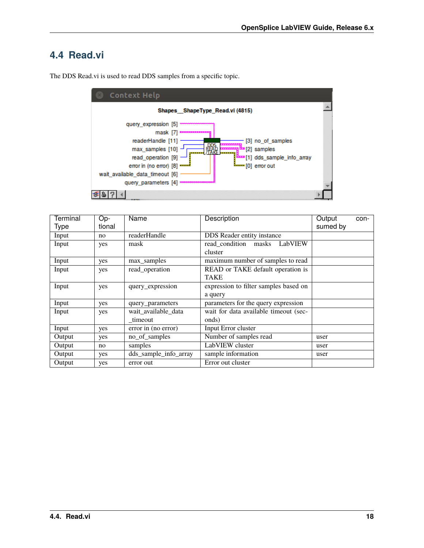### <span id="page-20-0"></span>**4.4 Read.vi**

| <b>Context Help</b>                                                                                                                                                                                                                                                                                                           |  |
|-------------------------------------------------------------------------------------------------------------------------------------------------------------------------------------------------------------------------------------------------------------------------------------------------------------------------------|--|
| Shapes ShapeType Read.vi (4815)                                                                                                                                                                                                                                                                                               |  |
| query expression [5]<br>mask [7]<br>readerHandle [11]<br>[3] no of samples<br>,,,,,,,,,,<br>max_samples [10] -<br><b>ی</b> samples<br>read_operation [9]<br>dds_sample_info_array ] 11] a<br>error in (no error) [8]<br><del>Le</del> [0]error out<br>wait available data timeout [6]<br>query parameters [4] x00000000000000 |  |
|                                                                                                                                                                                                                                                                                                                               |  |

The DDS Read.vi is used to read DDS samples from a specific topic.

| <b>Terminal</b> | $Op-$  | Name                  | Description                           | Output   | con- |
|-----------------|--------|-----------------------|---------------------------------------|----------|------|
| Type            | tional |                       |                                       | sumed by |      |
| Input           | no     | readerHandle          | DDS Reader entity instance            |          |      |
| Input           | yes    | mask                  | LabVIEW<br>read condition masks       |          |      |
|                 |        |                       | cluster                               |          |      |
| Input           | yes    | max_samples           | maximum number of samples to read     |          |      |
| Input           | yes    | read_operation        | READ or TAKE default operation is     |          |      |
|                 |        |                       | <b>TAKE</b>                           |          |      |
| Input           | yes    | query_expression      | expression to filter samples based on |          |      |
|                 |        |                       | a query                               |          |      |
| Input           | yes    | query_parameters      | parameters for the query expression   |          |      |
| Input           | yes    | wait available data   | wait for data available timeout (sec- |          |      |
|                 |        | timeout               | onds)                                 |          |      |
| Input           | yes    | error in (no error)   | Input Error cluster                   |          |      |
| Output          | yes    | no_of_samples         | Number of samples read                | user     |      |
| Output          | no     | samples               | LabVIEW cluster                       | user     |      |
| Output          | yes    | dds_sample_info_array | sample information                    | user     |      |
| Output          | yes    | error out             | Error out cluster                     |          |      |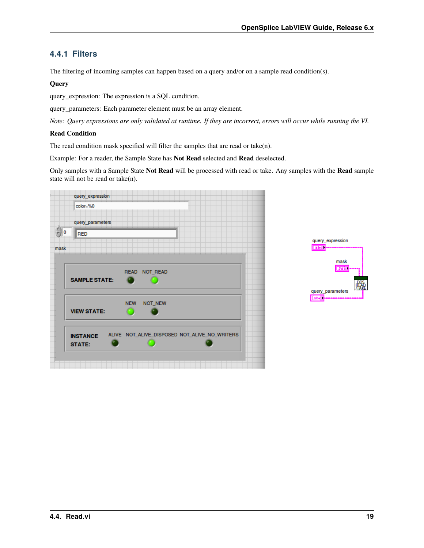### <span id="page-21-0"></span>**4.4.1 Filters**

The filtering of incoming samples can happen based on a query and/or on a sample read condition(s).

#### **Query**

query\_expression: The expression is a SQL condition.

query\_parameters: Each parameter element must be an array element.

*Note: Query expressions are only validated at runtime. If they are incorrect, errors will occur while running the VI.*

#### **Read Condition**

The read condition mask specified will filter the samples that are read or take(n).

Example: For a reader, the Sample State has **Not Read** selected and **Read** deselected.

Only samples with a Sample State **Not Read** will be processed with read or take. Any samples with the **Read** sample state will not be read or take(n).



| query_expression<br>52 |  |
|------------------------|--|
| mask<br><b>PEN</b>     |  |
| query parameters       |  |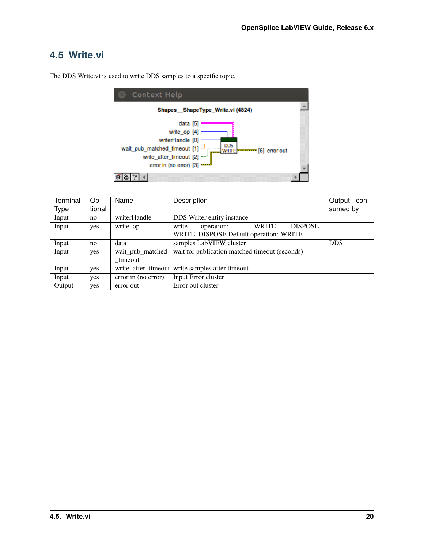### <span id="page-22-0"></span>**4.5 Write.vi**



The DDS Write.vi is used to write DDS samples to a specific topic.

| <b>Terminal</b> | Op-    | Name                        | Description                                                                         | Output<br>con- |
|-----------------|--------|-----------------------------|-------------------------------------------------------------------------------------|----------------|
| Type            | tional |                             |                                                                                     | sumed by       |
| Input           | no     | writerHandle                | DDS Writer entity instance                                                          |                |
| Input           | yes    | write op                    | DISPOSE,<br>WRITE.<br>write<br>operation:<br>WRITE_DISPOSE Default operation: WRITE |                |
| Input           | no     | data                        | samples LabVIEW cluster                                                             | <b>DDS</b>     |
| Input           | yes    | wait_pub_matched<br>timeout | wait for publication matched timeout (seconds)                                      |                |
| Input           | yes    |                             | write_after_timeout_write_samples_after_timeout                                     |                |
| Input           | yes    | error in (no error)         | Input Error cluster                                                                 |                |
| Output          | yes    | error out                   | Error out cluster                                                                   |                |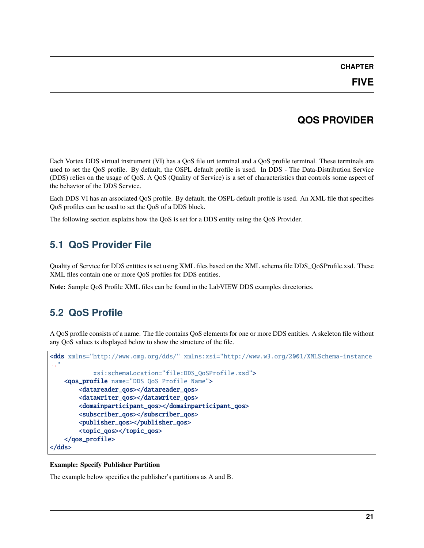## **QOS PROVIDER**

<span id="page-23-0"></span>Each Vortex DDS virtual instrument (VI) has a QoS file uri terminal and a QoS profile terminal. These terminals are used to set the QoS profile. By default, the OSPL default profile is used. In DDS - The Data-Distribution Service (DDS) relies on the usage of QoS. A QoS (Quality of Service) is a set of characteristics that controls some aspect of the behavior of the DDS Service.

Each DDS VI has an associated QoS profile. By default, the OSPL default profile is used. An XML file that specifies QoS profiles can be used to set the QoS of a DDS block.

The following section explains how the QoS is set for a DDS entity using the QoS Provider.

# <span id="page-23-1"></span>**5.1 QoS Provider File**

Quality of Service for DDS entities is set using XML files based on the XML schema file DDS\_QoSProfile.xsd. These XML files contain one or more QoS profiles for DDS entities.

**Note:** Sample QoS Profile XML files can be found in the LabVIEW DDS examples directories.

# <span id="page-23-2"></span>**5.2 QoS Profile**

A QoS profile consists of a name. The file contains QoS elements for one or more DDS entities. A skeleton file without any QoS values is displayed below to show the structure of the file.

```
<dds xmlns="http://www.omg.org/dds/" xmlns:xsi="http://www.w3.org/2001/XMLSchema-instance
ightharpoonup"
            xsi:schemaLocation="file:DDS_QoSProfile.xsd">
    <qos_profile name="DDS QoS Profile Name">
        <datareader_qos></datareader_qos>
        <datawriter_qos></datawriter_qos>
        <domainparticipant_qos></domainparticipant_qos>
        <subscriber_qos></subscriber_qos>
        <publisher_qos></publisher_qos>
        <topic_qos></topic_qos>
    </qos_profile>
</dds>
```
#### **Example: Specify Publisher Partition**

The example below specifies the publisher's partitions as A and B.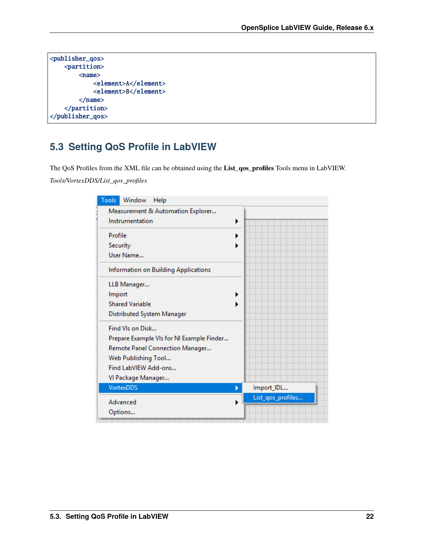```
<publisher_qos>
   <partition>
       <name>
            <element>A</element>
            <element>B</element>
        </name></partition>
</publisher_qos>
```
### <span id="page-24-0"></span>**5.3 Setting QoS Profile in LabVIEW**

The QoS Profiles from the XML file can be obtained using the **List\_qos\_profiles** Tools menu in LabVIEW. *Tools/VortexDDS/List\_qos\_profiles*

| Tools<br>Window<br>Help                   |                   |
|-------------------------------------------|-------------------|
| Measurement & Automation Explorer         |                   |
| Instrumentation<br>▶                      |                   |
| Profile                                   |                   |
| Security                                  |                   |
| User Name                                 |                   |
| Information on Building Applications      |                   |
| LLB Manager                               |                   |
| Import                                    |                   |
| <b>Shared Variable</b>                    |                   |
| Distributed System Manager                |                   |
| Find VIs on Disk                          |                   |
| Prepare Example VIs for NI Example Finder |                   |
| Remote Panel Connection Manager           |                   |
| Web Publishing Tool                       |                   |
| Find LabVIEW Add-ons                      |                   |
| VI Package Manager                        |                   |
| <b>VortexDDS</b><br>×                     | Import_IDL        |
| Advanced                                  | List_qos_profiles |
| Options                                   |                   |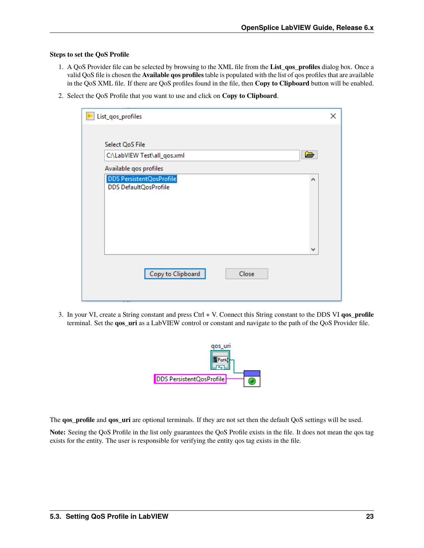#### **Steps to set the QoS Profile**

- 1. A QoS Provider file can be selected by browsing to the XML file from the **List\_qos\_profiles** dialog box. Once a valid QoS file is chosen the **Available qos profiles** table is populated with the list of qos profiles that are available in the QoS XML file. If there are QoS profiles found in the file, then **Copy to Clipboard** button will be enabled.
- 2. Select the QoS Profile that you want to use and click on **Copy to Clipboard**.

| List_qos_profiles             | × |
|-------------------------------|---|
|                               |   |
| Select QoS File               |   |
| C:\LabVIEW Test\all_qos.xml   |   |
| Available qos profiles        |   |
| DDS PersistentQosProfile<br>۸ |   |
| DDS DefaultQosProfile         |   |
|                               |   |
|                               |   |
|                               |   |
|                               |   |
| v                             |   |
|                               |   |
| Copy to Clipboard<br>Close    |   |
|                               |   |
|                               |   |

3. In your VI, create a String constant and press Ctrl + V. Connect this String constant to the DDS VI **qos\_profile** terminal. Set the **qos\_uri** as a LabVIEW control or constant and navigate to the path of the QoS Provider file.



The **qos\_profile** and **qos\_uri** are optional terminals. If they are not set then the default QoS settings will be used.

**Note:** Seeing the QoS Profile in the list only guarantees the QoS Profile exists in the file. It does not mean the qos tag exists for the entity. The user is responsible for verifying the entity qos tag exists in the file.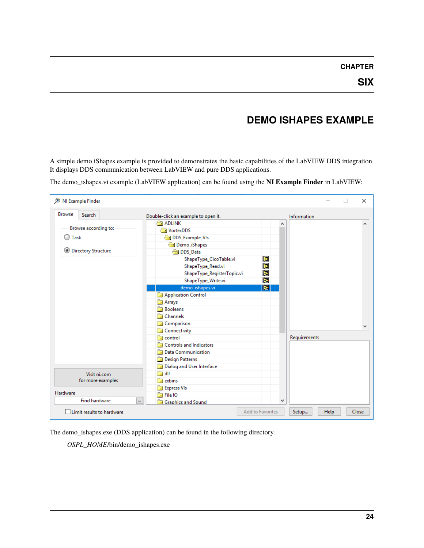# **DEMO ISHAPES EXAMPLE**

<span id="page-26-0"></span>A simple demo iShapes example is provided to demonstrates the basic capabilities of the LabVIEW DDS integration. It displays DDS communication between LabVIEW and pure DDS applications.

The demo\_ishapes.vi example (LabVIEW application) can be found using the **NI Example Finder** in LabVIEW:

| NI Example Finder          |                                                | $\times$     |
|----------------------------|------------------------------------------------|--------------|
| <b>Browse</b><br>Search    | Double-click an example to open it.            | Information  |
|                            | <b>ADLINK</b>                                  | ۸            |
| Browse according to:       | <b>NortexDDS</b>                               |              |
| <b>O</b> Task              | DDS_Example_VIs                                |              |
|                            | Demo_iShapes                                   |              |
| <b>Directory Structure</b> | DDS Data                                       |              |
|                            | Þ<br>ShapeType_CicoTable.vi                    |              |
|                            | Þ<br>ShapeType_Read.vi                         |              |
|                            | Þ<br>ShapeType_RegisterTopic.vi                |              |
|                            | i).<br>ShapeType_Write.vi                      |              |
|                            | <b>IE</b><br>demo ishapes.vi                   |              |
|                            | Application Control                            |              |
|                            | al Arrays                                      |              |
|                            | <b>Booleans</b>                                |              |
|                            | Channels                                       |              |
|                            | Comparison<br>- 24                             |              |
|                            | Connectivity                                   |              |
|                            | control                                        | Requirements |
|                            | <b>Controls and Indicators</b><br>-38          |              |
|                            | Data Communication                             |              |
|                            | Design Patterns                                |              |
|                            | Dialog and User Interface                      |              |
| Visit ni.com               | dll<br>- 53                                    |              |
| for more examples          | exbins<br><b>Sold</b>                          |              |
|                            | <b>Express VIs</b>                             |              |
| Hardware                   | a File IO                                      |              |
| <b>Find hardware</b>       | $\checkmark$<br><b>Read Graphics and Sound</b> | v            |

The demo\_ishapes.exe (DDS application) can be found in the following directory.

*OSPL\_HOME*/bin/demo\_ishapes.exe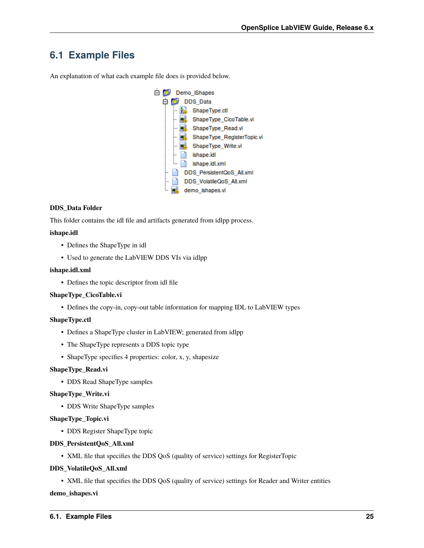### <span id="page-27-0"></span>**6.1 Example Files**

An explanation of what each example file does is provided below.



#### **DDS\_Data Folder**

This folder contains the idl file and artifacts generated from idlpp process.

#### **ishape.idl**

- Defines the ShapeType in idl
- Used to generate the LabVIEW DDS VIs via idlpp

#### **ishape.idl.xml**

• Defines the topic descriptor from idl file

#### **ShapeType\_CicoTable.vi**

• Defines the copy-in, copy-out table information for mapping IDL to LabVIEW types

#### **ShapeType.ctl**

- Defines a ShapeType cluster in LabVIEW; generated from idlpp
- The ShapeType represents a DDS topic type
- ShapeType specifies 4 properties: color, x, y, shapesize

#### **ShapeType\_Read.vi**

• DDS Read ShapeType samples

#### **ShapeType\_Write.vi**

• DDS Write ShapeType samples

#### **ShapeType\_Topic.vi**

• DDS Register ShapeType topic

#### **DDS\_PersistentQoS\_All.xml**

• XML file that specifies the DDS QoS (quality of service) settings for RegisterTopic

#### **DDS\_VolatileQoS\_All.xml**

• XML file that specifies the DDS QoS (quality of service) settings for Reader and Writer entities

#### **demo\_ishapes.vi**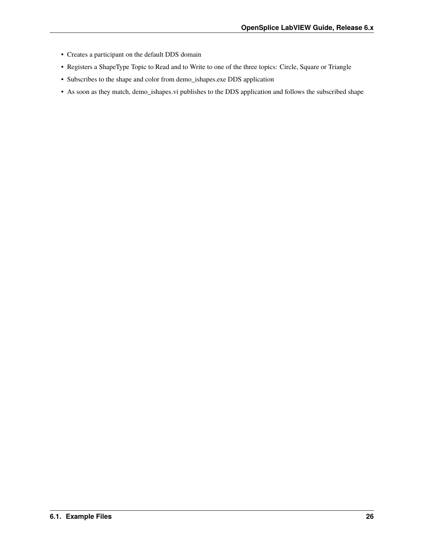- Creates a participant on the default DDS domain
- Registers a ShapeType Topic to Read and to Write to one of the three topics: Circle, Square or Triangle
- Subscribes to the shape and color from demo\_ishapes.exe DDS application
- As soon as they match, demo\_ishapes.vi publishes to the DDS application and follows the subscribed shape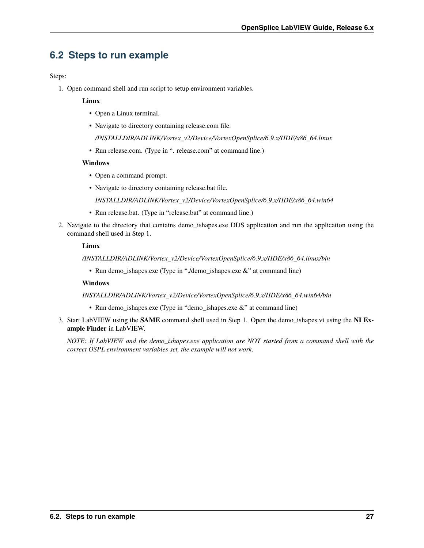### <span id="page-29-0"></span>**6.2 Steps to run example**

Steps:

1. Open command shell and run script to setup environment variables.

#### **Linux**

- Open a Linux terminal.
- Navigate to directory containing release.com file.

*/INSTALLDIR/ADLINK/Vortex\_v2/Device/VortexOpenSplice/6.9.x/HDE/x86\_64.linux*

• Run release.com. (Type in ". release.com" at command line.)

#### **Windows**

- Open a command prompt.
- Navigate to directory containing release.bat file.

*INSTALLDIR/ADLINK/Vortex\_v2/Device/VortexOpenSplice/6.9.x/HDE/x86\_64.win64*

- Run release.bat. (Type in "release.bat" at command line.)
- 2. Navigate to the directory that contains demo\_ishapes.exe DDS application and run the application using the command shell used in Step 1.

#### **Linux**

*/INSTALLDIR/ADLINK/Vortex\_v2/Device/VortexOpenSplice/6.9.x/HDE/x86\_64.linux/bin*

• Run demo\_ishapes.exe (Type in "./demo\_ishapes.exe &" at command line)

#### **Windows**

#### *INSTALLDIR/ADLINK/Vortex\_v2/Device/VortexOpenSplice/6.9.x/HDE/x86\_64.win64/bin*

- Run demo\_ishapes.exe (Type in "demo\_ishapes.exe &" at command line)
- 3. Start LabVIEW using the **SAME** command shell used in Step 1. Open the demo\_ishapes.vi using the **NI Example Finder** in LabVIEW.

*NOTE: If LabVIEW and the demo\_ishapes.exe application are NOT started from a command shell with the correct OSPL environment variables set, the example will not work.*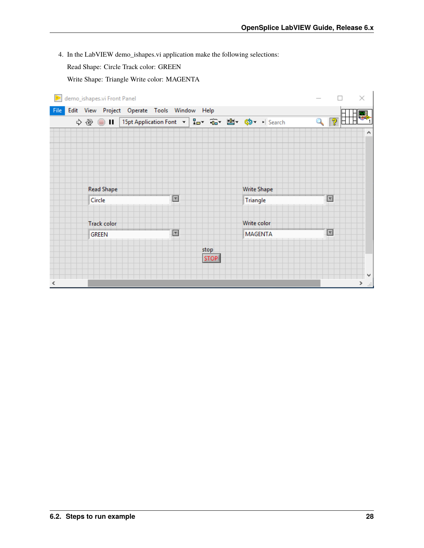4. In the LabVIEW demo\_ishapes.vi application make the following selections:

Read Shape: Circle Track color: GREEN

Write Shape: Triangle Write color: MAGENTA

| Đ<br>demo_ishapes.vi Front Panel |                                                 |                |      |                    | ×                       |
|----------------------------------|-------------------------------------------------|----------------|------|--------------------|-------------------------|
| File                             | Edit View Project Operate Tools Window Help     |                |      |                    |                         |
| ♦ ® ◎ Ⅱ                          | 15pt Application Font ▼ 品 在 出 建 \$ < +   Search |                |      |                    | ೌ<br>$\mathbf 2$        |
|                                  |                                                 |                |      |                    | $\hat{\phantom{a}}$     |
|                                  |                                                 |                |      |                    |                         |
|                                  |                                                 |                |      |                    |                         |
|                                  |                                                 |                |      |                    |                         |
|                                  |                                                 |                |      |                    |                         |
|                                  | <b>Read Shape</b>                               |                |      | <b>Write Shape</b> |                         |
| Circle                           |                                                 | F              |      | Triangle           | $\Box$                  |
|                                  |                                                 |                |      |                    |                         |
|                                  | Track color                                     |                |      | Write color        |                         |
| <b>GREEN</b>                     |                                                 | $\overline{r}$ |      | <b>MAGENTA</b>     | $\overline{\mathbf{r}}$ |
|                                  |                                                 |                | stop |                    |                         |
|                                  |                                                 |                | STOP |                    |                         |
|                                  |                                                 |                |      |                    | v                       |
| ⋖                                |                                                 |                |      |                    | ≯<br>$\Box$             |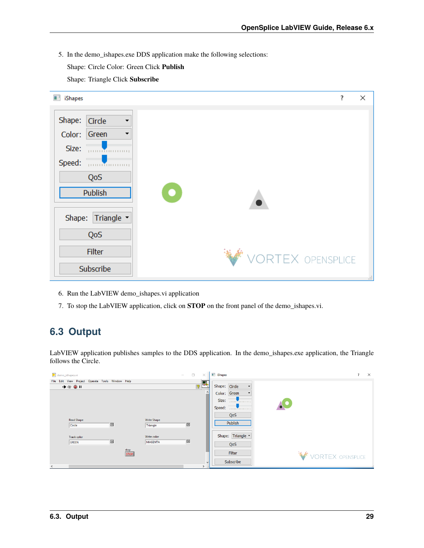- 5. In the demo\_ishapes.exe DDS application make the following selections:
	- Shape: Circle Color: Green Click **Publish**
	- Shape: Triangle Click **Subscribe**

| ■■<br>iShapes                                                                                                                                      |                   | ʻ. | × |
|----------------------------------------------------------------------------------------------------------------------------------------------------|-------------------|----|---|
| Shape:<br>Circle<br>$\blacktriangledown$<br>Color:<br>Green<br>▼<br>Size:<br><b>THURBOUT</b><br>Speed: <b>www.communications</b><br>QoS<br>Publish |                   |    |   |
| Shape: Triangle -<br>QoS                                                                                                                           |                   |    |   |
| Filter<br>Subscribe                                                                                                                                | VORTEX OPENSPLICE |    |   |
|                                                                                                                                                    |                   |    |   |

- 6. Run the LabVIEW demo\_ishapes.vi application
- 7. To stop the LabVIEW application, click on **STOP** on the front panel of the demo\_ishapes.vi.

### <span id="page-31-0"></span>**6.3 Output**

LabVIEW application publishes samples to the DDS application. In the demo\_ishapes.exe application, the Triangle follows the Circle.

| demo_ishapes.vi                                                                    | <b>B</b> iShapes<br>$\Box$<br>$\times$<br>$\sim$                       | $\times$<br>$\overline{\phantom{a}}$ |
|------------------------------------------------------------------------------------|------------------------------------------------------------------------|--------------------------------------|
| File Edit View Project Operate Tools Window Help<br>+ 2 ● 11                       | $\sqrt{2}$<br>Shape: Circle<br>$\blacktriangledown$                    |                                      |
|                                                                                    | Color: Green<br>$\overline{\phantom{0}}$<br>Size: <b>William Size:</b> |                                      |
|                                                                                    | Speed: <b>William</b>                                                  |                                      |
| <b>Read Shape</b><br><b>Write Shape</b><br>$\boxed{x}$<br>Circle<br>Triangle       | QoS<br>Publish<br>$\boxed{\Xi}$                                        |                                      |
| Write color<br><b>Track color</b><br>$\boxed{x}$<br><b>MAGENTA</b><br><b>GREEN</b> | Shape: Triangle v<br>$\mathbb{E}$                                      |                                      |
| stop<br>STOP                                                                       | QoS<br><b>Filter</b>                                                   | VORTEX OPENSPLICE                    |
| $\epsilon$                                                                         | Subscribe<br>$\checkmark$<br>$\rightarrow$                             |                                      |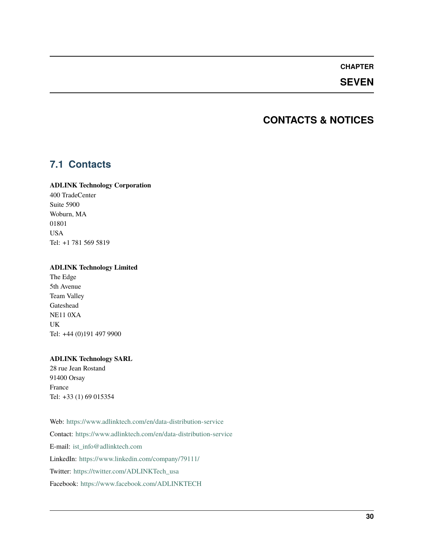### **SEVEN**

### **CONTACTS & NOTICES**

### <span id="page-32-1"></span><span id="page-32-0"></span>**7.1 Contacts**

#### **ADLINK Technology Corporation**

400 TradeCenter Suite 5900 Woburn, MA 01801 USA Tel: +1 781 569 5819

#### **ADLINK Technology Limited**

The Edge 5th Avenue Team Valley Gateshead NE11 0XA UK Tel: +44 (0)191 497 9900

#### **ADLINK Technology SARL**

28 rue Jean Rostand 91400 Orsay France Tel: +33 (1) 69 015354

Web: <https://www.adlinktech.com/en/data-distribution-service> Contact: <https://www.adlinktech.com/en/data-distribution-service> E-mail: [ist\\_info@adlinktech.com](mailto:ist_info@adlinktech.com) LinkedIn: <https://www.linkedin.com/company/79111/> Twitter: [https://twitter.com/ADLINKTech\\_usa](https://twitter.com/ADLINKTech_usa) Facebook: <https://www.facebook.com/ADLINKTECH>